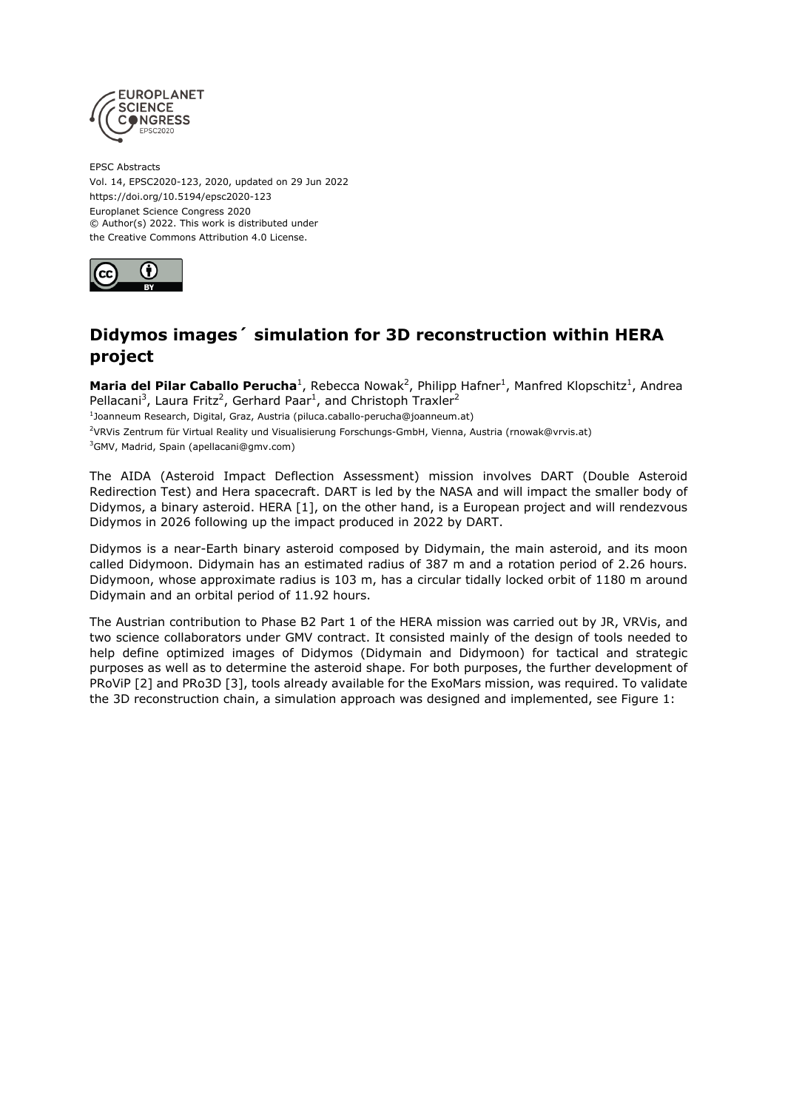

EPSC Abstracts Vol. 14, EPSC2020-123, 2020, updated on 29 Jun 2022 https://doi.org/10.5194/epsc2020-123 Europlanet Science Congress 2020 © Author(s) 2022. This work is distributed under the Creative Commons Attribution 4.0 License.



# **Didymos images´ simulation for 3D reconstruction within HERA project**

**Maria del Pilar Caballo Perucha<sup>1</sup>**, Rebecca Nowak<sup>2</sup>, Philipp Hafner<sup>1</sup>, Manfred Klopschitz<sup>1</sup>, Andrea Pellacani<sup>3</sup>, Laura Fritz<sup>2</sup>, Gerhard Paar<sup>1</sup>, and Christoph Traxler<sup>2</sup> <sup>1</sup>Joanneum Research, Digital, Graz, Austria (piluca.caballo-perucha@joanneum.at)

<sup>2</sup>VRVis Zentrum für Virtual Reality und Visualisierung Forschungs-GmbH, Vienna, Austria (rnowak@vrvis.at) <sup>3</sup>GMV, Madrid, Spain (apellacani@gmv.com)

The AIDA (Asteroid Impact Deflection Assessment) mission involves DART (Double Asteroid Redirection Test) and Hera spacecraft. DART is led by the NASA and will impact the smaller body of Didymos, a binary asteroid. HERA [1], on the other hand, is a European project and will rendezvous Didymos in 2026 following up the impact produced in 2022 by DART.

Didymos is a near-Earth binary asteroid composed by Didymain, the main asteroid, and its moon called Didymoon. Didymain has an estimated radius of 387 m and a rotation period of 2.26 hours. Didymoon, whose approximate radius is 103 m, has a circular tidally locked orbit of 1180 m around Didymain and an orbital period of 11.92 hours.

The Austrian contribution to Phase B2 Part 1 of the HERA mission was carried out by JR, VRVis, and two science collaborators under GMV contract. It consisted mainly of the design of tools needed to help define optimized images of Didymos (Didymain and Didymoon) for tactical and strategic purposes as well as to determine the asteroid shape. For both purposes, the further development of PRoViP [2] and PRo3D [3], tools already available for the ExoMars mission, was required. To validate the 3D reconstruction chain, a simulation approach was designed and implemented, see Figure 1: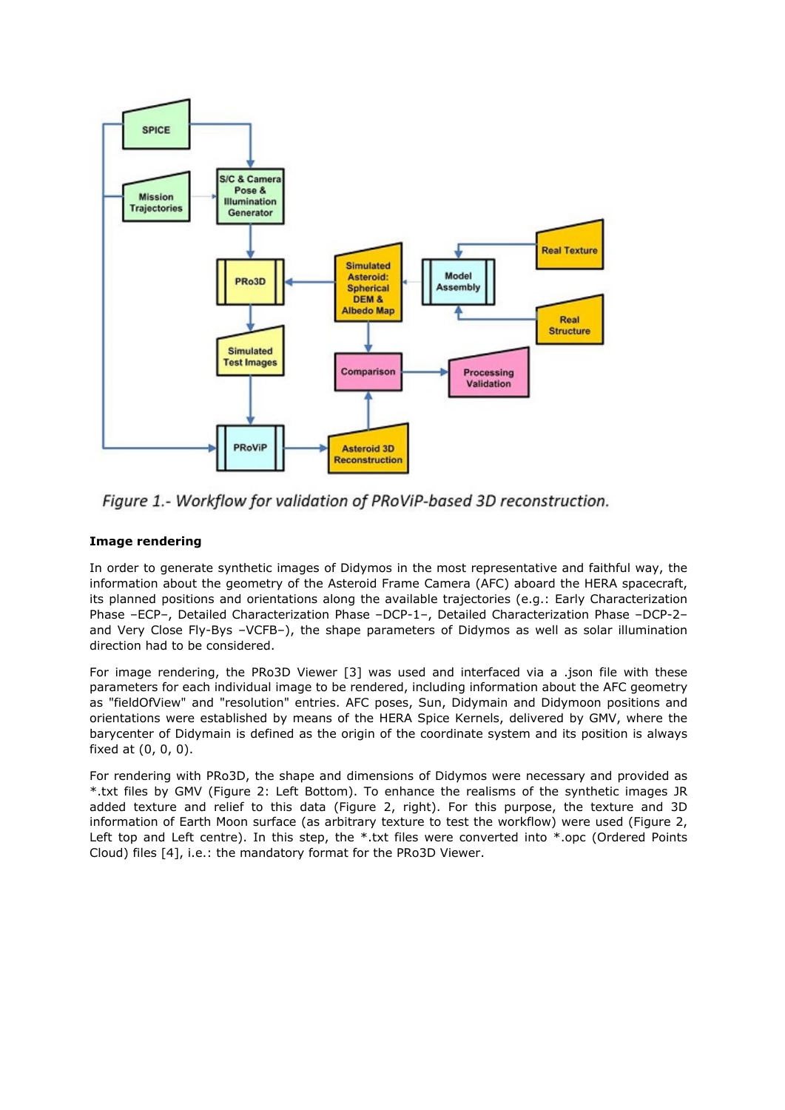

Figure 1.- Workflow for validation of PRoViP-based 3D reconstruction.

## **Image rendering**

In order to generate synthetic images of Didymos in the most representative and faithful way, the information about the geometry of the Asteroid Frame Camera (AFC) aboard the HERA spacecraft, its planned positions and orientations along the available trajectories (e.g.: Early Characterization Phase –ECP–, Detailed Characterization Phase –DCP-1–, Detailed Characterization Phase –DCP-2– and Very Close Fly-Bys –VCFB–), the shape parameters of Didymos as well as solar illumination direction had to be considered.

For image rendering, the PRo3D Viewer [3] was used and interfaced via a .json file with these parameters for each individual image to be rendered, including information about the AFC geometry as "fieldOfView" and "resolution" entries. AFC poses, Sun, Didymain and Didymoon positions and orientations were established by means of the HERA Spice Kernels, delivered by GMV, where the barycenter of Didymain is defined as the origin of the coordinate system and its position is always fixed at (0, 0, 0).

For rendering with PRo3D, the shape and dimensions of Didymos were necessary and provided as \*.txt files by GMV (Figure 2: Left Bottom). To enhance the realisms of the synthetic images JR added texture and relief to this data (Figure 2, right). For this purpose, the texture and 3D information of Earth Moon surface (as arbitrary texture to test the workflow) were used (Figure 2, Left top and Left centre). In this step, the \*.txt files were converted into \*.opc (Ordered Points Cloud) files [4], i.e.: the mandatory format for the PRo3D Viewer.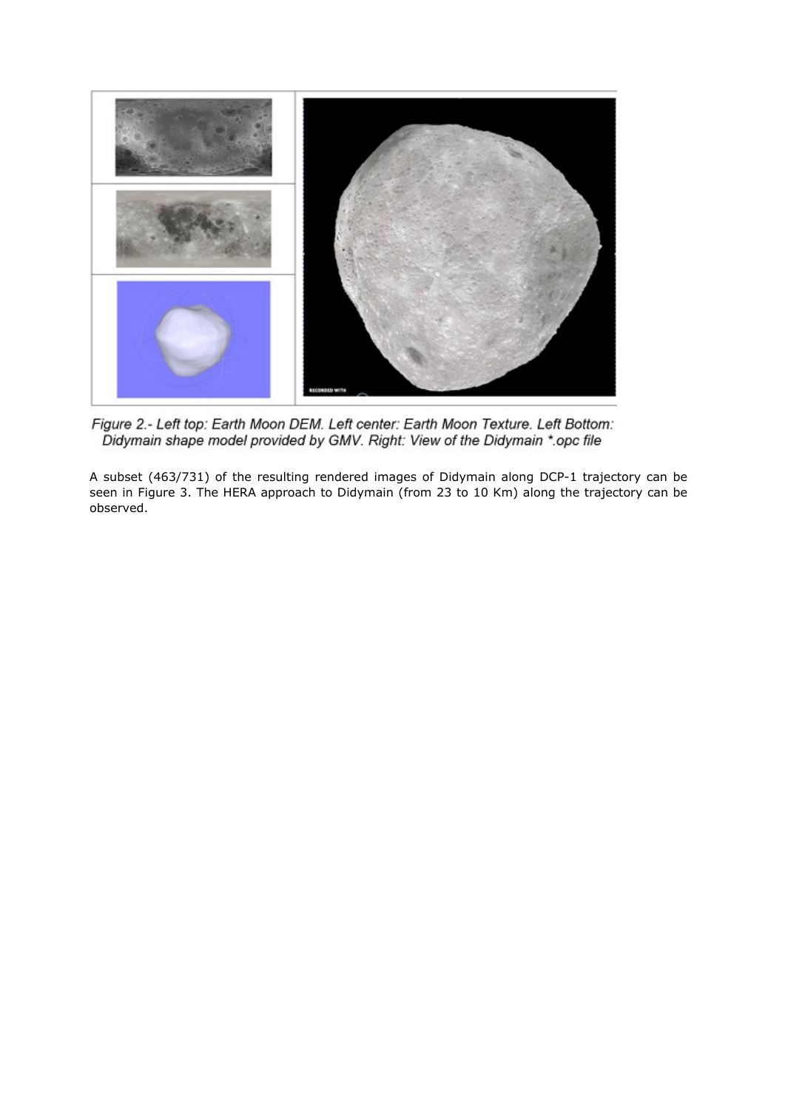

Figure 2.- Left top: Earth Moon DEM. Left center: Earth Moon Texture. Left Bottom:<br>Didymain shape model provided by GMV. Right: View of the Didymain \*.opc file

A subset (463/731) of the resulting rendered images of Didymain along DCP-1 trajectory can be seen in Figure 3. The HERA approach to Didymain (from 23 to 10 Km) along the trajectory can be observed.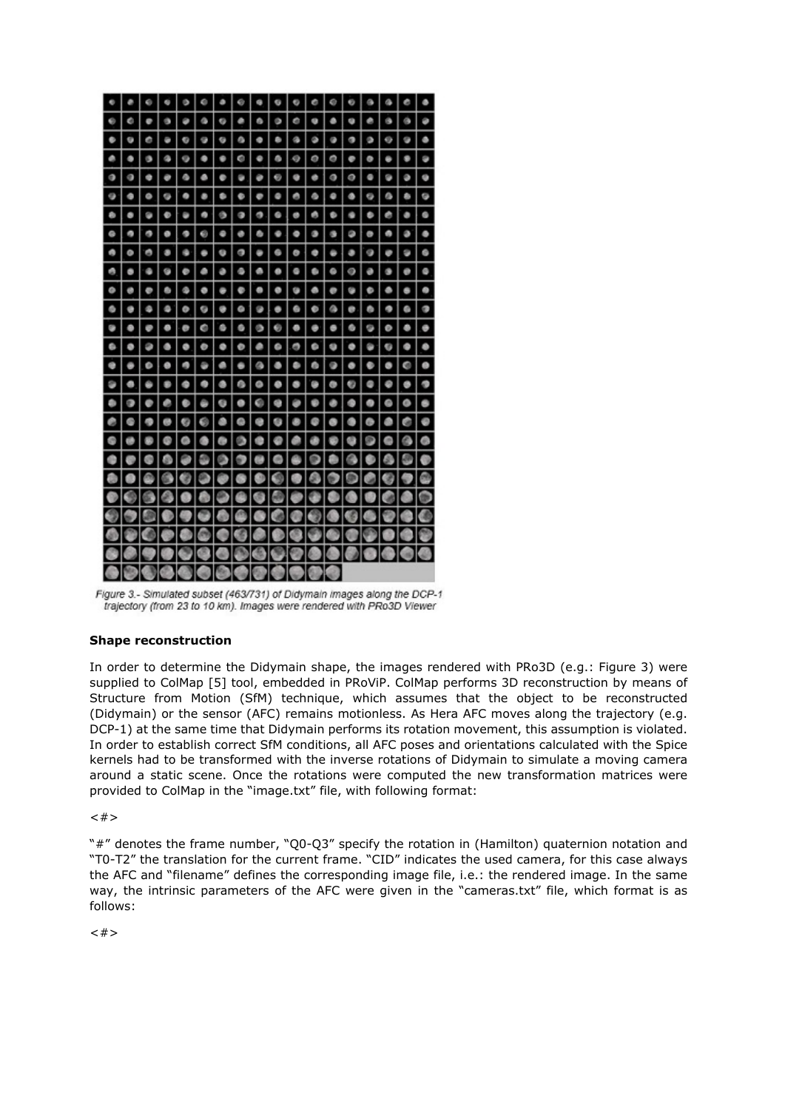

Figure 3.- Simulated subset (463/731) of Didymain images along the DCP-1 trajectory (from 23 to 10 km). Images were rendered with PRo3D Viewer

## **Shape reconstruction**

In order to determine the Didymain shape, the images rendered with PRo3D (e.g.: Figure 3) were supplied to ColMap [5] tool, embedded in PRoViP. ColMap performs 3D reconstruction by means of Structure from Motion (SfM) technique, which assumes that the object to be reconstructed (Didymain) or the sensor (AFC) remains motionless. As Hera AFC moves along the trajectory (e.g. DCP-1) at the same time that Didymain performs its rotation movement, this assumption is violated. In order to establish correct SfM conditions, all AFC poses and orientations calculated with the Spice kernels had to be transformed with the inverse rotations of Didymain to simulate a moving camera around a static scene. Once the rotations were computed the new transformation matrices were provided to ColMap in the "image.txt" file, with following format:

 $<#>$ 

"#" denotes the frame number, "Q0-Q3" specify the rotation in (Hamilton) quaternion notation and "T0-T2" the translation for the current frame. "CID" indicates the used camera, for this case always the AFC and "filename" defines the corresponding image file, i.e.: the rendered image. In the same way, the intrinsic parameters of the AFC were given in the "cameras.txt" file, which format is as follows:

 $<#>$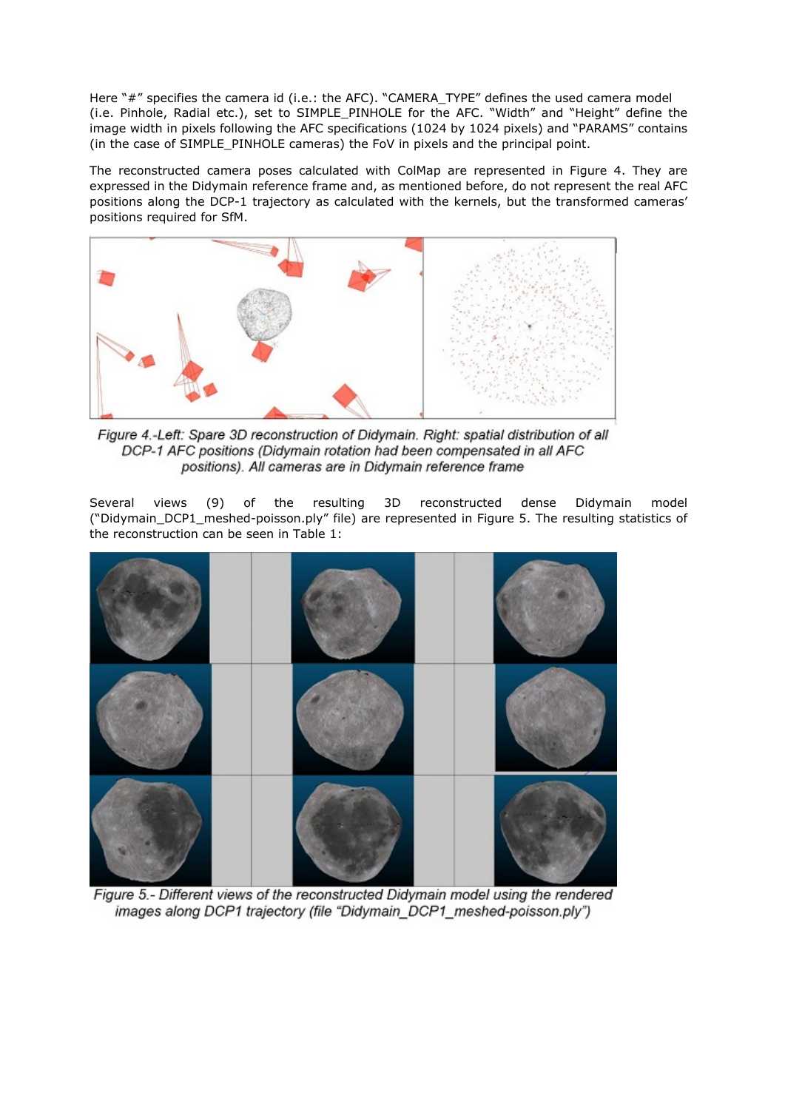Here "#" specifies the camera id (i.e.: the AFC). "CAMERA\_TYPE" defines the used camera model (i.e. Pinhole, Radial etc.), set to SIMPLE\_PINHOLE for the AFC. "Width" and "Height" define the image width in pixels following the AFC specifications (1024 by 1024 pixels) and "PARAMS" contains (in the case of SIMPLE\_PINHOLE cameras) the FoV in pixels and the principal point.

The reconstructed camera poses calculated with ColMap are represented in Figure 4. They are expressed in the Didymain reference frame and, as mentioned before, do not represent the real AFC positions along the DCP-1 trajectory as calculated with the kernels, but the transformed cameras' positions required for SfM.



Figure 4.-Left: Spare 3D reconstruction of Didymain. Right: spatial distribution of all DCP-1 AFC positions (Didymain rotation had been compensated in all AFC positions). All cameras are in Didymain reference frame

Several views (9) of the resulting 3D reconstructed dense Didymain model ("Didymain\_DCP1\_meshed-poisson.ply" file) are represented in Figure 5. The resulting statistics of the reconstruction can be seen in Table 1:



Figure 5.- Different views of the reconstructed Didymain model using the rendered images along DCP1 trajectory (file "Didymain DCP1 meshed-poisson.ply")